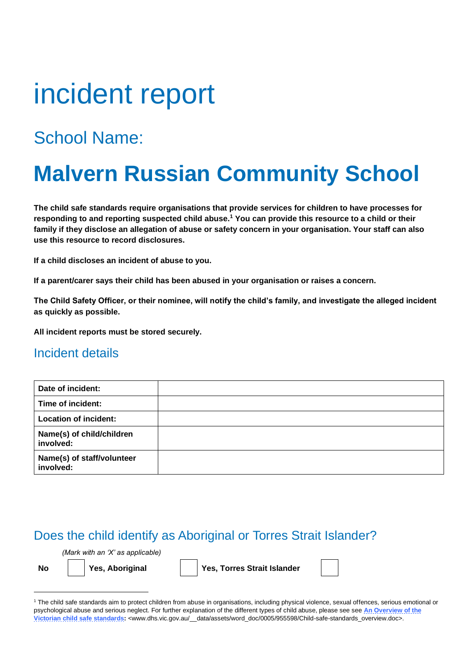# incident report

## School Name:

## **Malvern Russian Community School**

**The child safe standards require organisations that provide services for children to have processes for responding to and reporting suspected child abuse.<sup>1</sup> You can provide this resource to a child or their family if they disclose an allegation of abuse or safety concern in your organisation. Your staff can also use this resource to record disclosures.** 

**If a child discloses an incident of abuse to you.**

**If a parent/carer says their child has been abused in your organisation or raises a concern.**

**The Child Safety Officer, or their nominee, will notify the child's family, and investigate the alleged incident as quickly as possible.**

**All incident reports must be stored securely.** 

#### Incident details

| Date of incident:                       |  |
|-----------------------------------------|--|
| Time of incident:                       |  |
| <b>Location of incident:</b>            |  |
| Name(s) of child/children<br>involved:  |  |
| Name(s) of staff/volunteer<br>involved: |  |

#### Does the child identify as Aboriginal or Torres Strait Islander?

*(Mark with an 'X' as applicable)*

**No Yes, Aboriginal Yes, Torres Strait Islander**

<sup>1</sup> The child safe standards aim to protect children from abuse in organisations, including physical violence, sexual offences, serious emotional or psychological abuse and serious neglect. For further explanation of the different types of child abuse, please see see An Overview of the **[Victorian child safe standards:](http://www.dhs.vic.gov.au/__data/assets/word_doc/0005/955598/Child-safe-standards_overview.doc)** <www.dhs.vic.gov.au/\_\_data/assets/word\_doc/0005/955598/Child-safe-standards\_overview.doc>.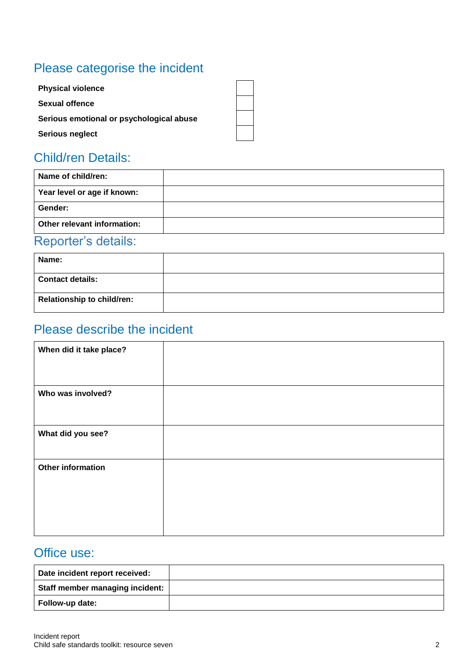## Please categorise the incident

### Child/ren Details:

| Name of child/ren:          |  |
|-----------------------------|--|
| Year level or age if known: |  |
| Gender:                     |  |
| Other relevant information: |  |
| Designation of a state that |  |

#### Reporter's details:

| Name:                             |  |
|-----------------------------------|--|
| <b>Contact details:</b>           |  |
| <b>Relationship to child/ren:</b> |  |

## Please describe the incident

| When did it take place?  |  |
|--------------------------|--|
|                          |  |
| Who was involved?        |  |
| What did you see?        |  |
| <b>Other information</b> |  |
|                          |  |

#### Office use:

| Date incident report received:  |  |
|---------------------------------|--|
| Staff member managing incident: |  |
| Follow-up date:                 |  |